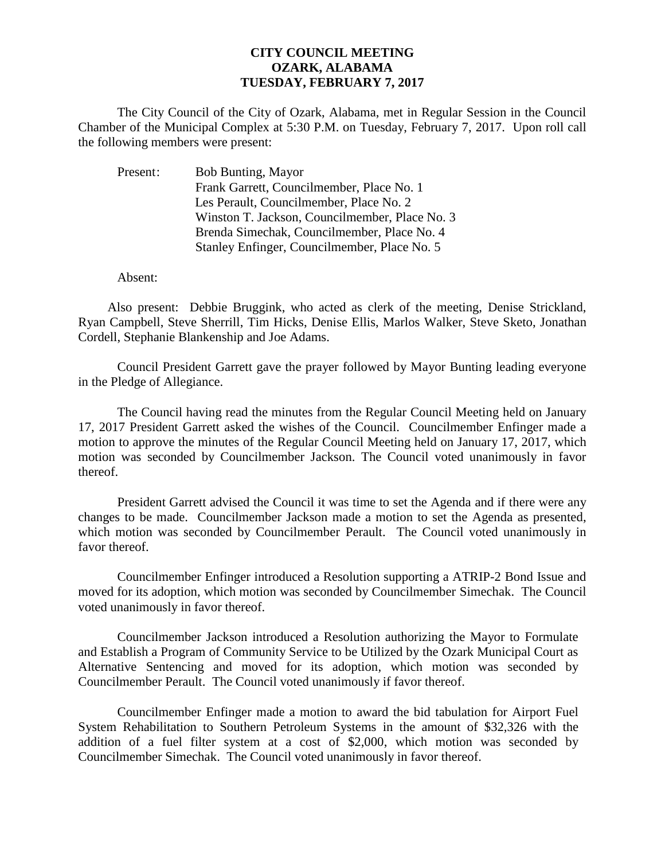## **CITY COUNCIL MEETING OZARK, ALABAMA TUESDAY, FEBRUARY 7, 2017**

The City Council of the City of Ozark, Alabama, met in Regular Session in the Council Chamber of the Municipal Complex at 5:30 P.M. on Tuesday, February 7, 2017. Upon roll call the following members were present:

| Present: | <b>Bob Bunting, Mayor</b>                      |
|----------|------------------------------------------------|
|          | Frank Garrett, Councilmember, Place No. 1      |
|          | Les Perault, Councilmember, Place No. 2        |
|          | Winston T. Jackson, Councilmember, Place No. 3 |
|          | Brenda Simechak, Councilmember, Place No. 4    |
|          | Stanley Enfinger, Councilmember, Place No. 5   |

Absent:

Also present: Debbie Bruggink, who acted as clerk of the meeting, Denise Strickland, Ryan Campbell, Steve Sherrill, Tim Hicks, Denise Ellis, Marlos Walker, Steve Sketo, Jonathan Cordell, Stephanie Blankenship and Joe Adams.

Council President Garrett gave the prayer followed by Mayor Bunting leading everyone in the Pledge of Allegiance.

The Council having read the minutes from the Regular Council Meeting held on January 17, 2017 President Garrett asked the wishes of the Council. Councilmember Enfinger made a motion to approve the minutes of the Regular Council Meeting held on January 17, 2017, which motion was seconded by Councilmember Jackson. The Council voted unanimously in favor thereof.

President Garrett advised the Council it was time to set the Agenda and if there were any changes to be made. Councilmember Jackson made a motion to set the Agenda as presented, which motion was seconded by Councilmember Perault. The Council voted unanimously in favor thereof.

 Councilmember Enfinger introduced a Resolution supporting a ATRIP-2 Bond Issue and moved for its adoption, which motion was seconded by Councilmember Simechak. The Council voted unanimously in favor thereof.

Councilmember Jackson introduced a Resolution authorizing the Mayor to Formulate and Establish a Program of Community Service to be Utilized by the Ozark Municipal Court as Alternative Sentencing and moved for its adoption, which motion was seconded by Councilmember Perault. The Council voted unanimously if favor thereof.

Councilmember Enfinger made a motion to award the bid tabulation for Airport Fuel System Rehabilitation to Southern Petroleum Systems in the amount of \$32,326 with the addition of a fuel filter system at a cost of \$2,000, which motion was seconded by Councilmember Simechak. The Council voted unanimously in favor thereof.